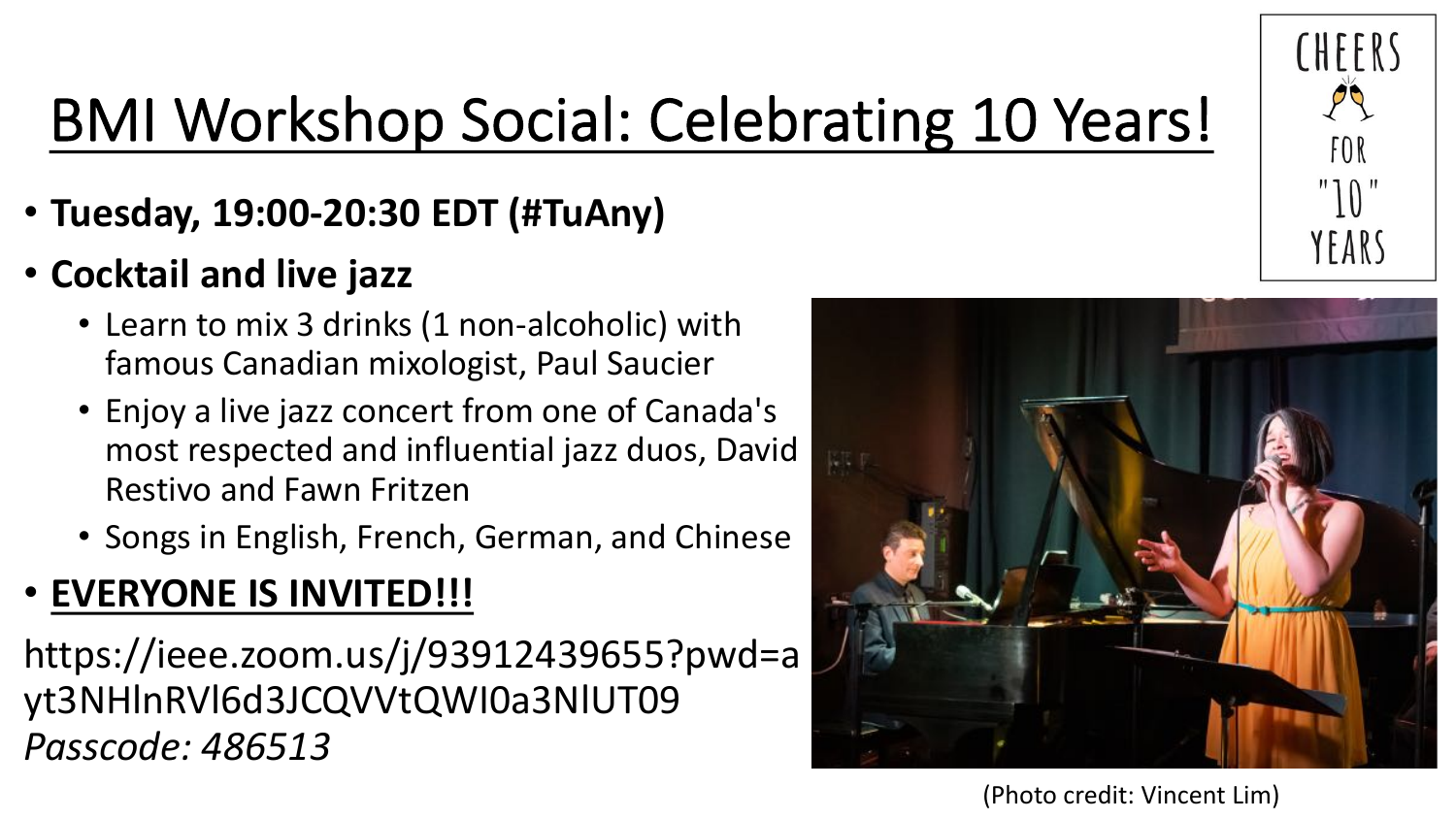

## BMI Workshop Social: Celebrating 10 Years!

- **Tuesday, 19:00-20:30 EDT (#TuAny)**
- **Cocktail and live jazz**
	- Learn to mix 3 drinks (1 non-alcoholic) with famous Canadian mixologist, Paul Saucier
	- Enjoy a live jazz concert from one of Canada's most respected and influential jazz duos, David Restivo and Fawn Fritzen
	- Songs in English, French, German, and Chinese

### • **EVERYONE IS INVITED!!!**

https://ieee.zoom.us/j/93912439655?pwd=a yt3NHlnRVl6d3JCQVVtQWI0a3NlUT09 *Passcode: 486513*



(Photo credit: Vincent Lim)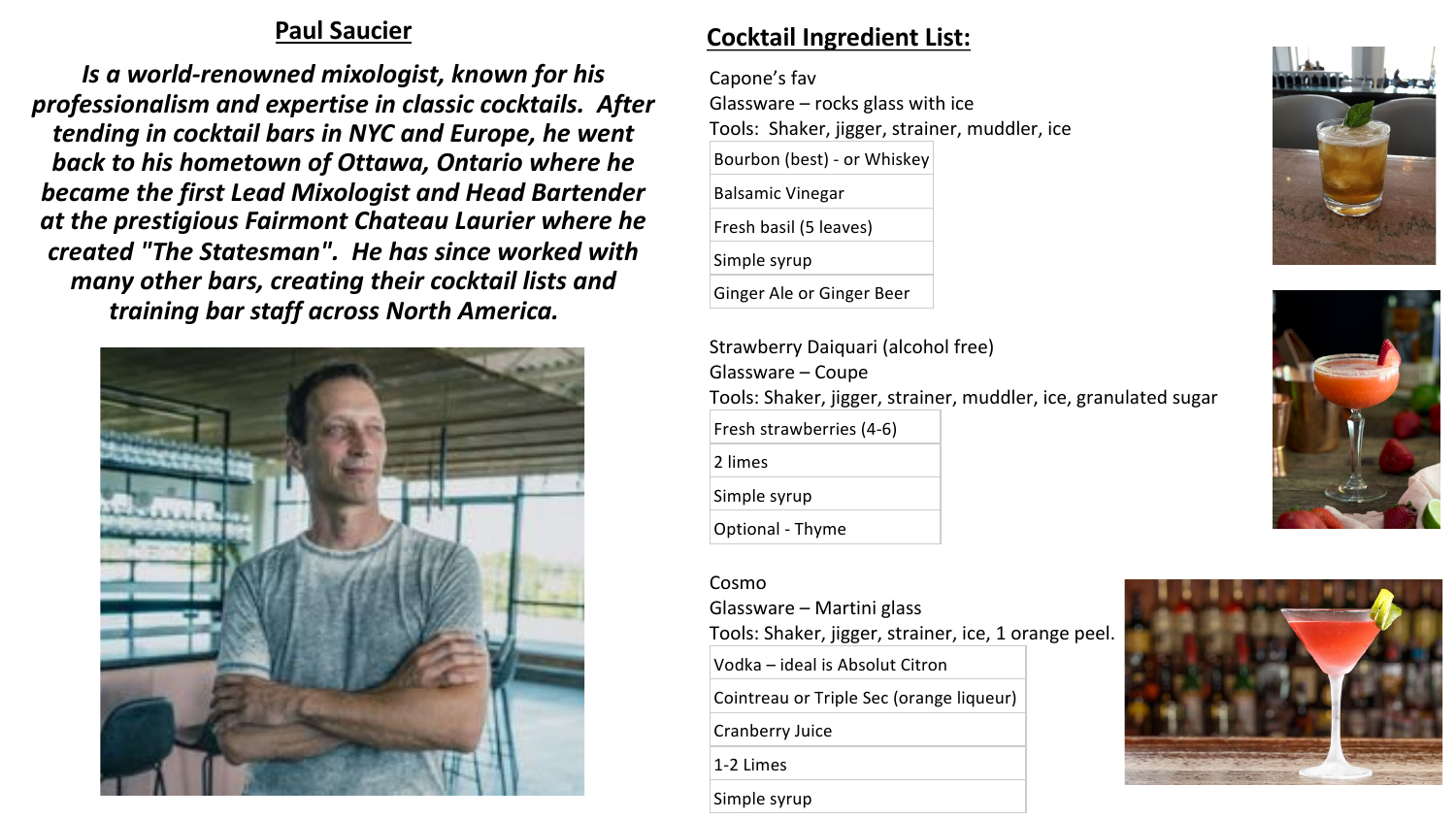#### **Paul Saucier**

*Is a world-renowned mixologist, known for his professionalism and expertise in classic cocktails. After tending in cocktail bars in NYC and Europe, he went back to his hometown of Ottawa, Ontario where he became the first Lead Mixologist and Head Bartender at the prestigious Fairmont Chateau Laurier where he created "The Statesman". He has since worked with many other bars, creating their cocktail lists and training bar staff across North America.*



### **Cocktail Ingredient List:**

Capone's fav Glassware  $-$  rocks glass with ice Tools: Shaker, jigger, strainer, muddler, ice Bourbon (best) - or Whiskey Balsamic Vinegar Fresh basil (5 leaves) Simple syrup Ginger Ale or Ginger Beer

Strawberry Daiquari (alcohol free) Glassware – Coupe Tools: Shaker, jigger, strainer, muddler, ice, granulated sugar Fresh strawberries (4-6) 2 limes Simple syrup Optional - Thyme

Cosmo Glassware – Martini glass Tools: Shaker, jigger, strainer, ice, 1 orange peel. Vodka – ideal is Absolut Citron Cointreau or Triple Sec (orange liqueur) Cranberry Juice 1-2 Limes Simple syrup

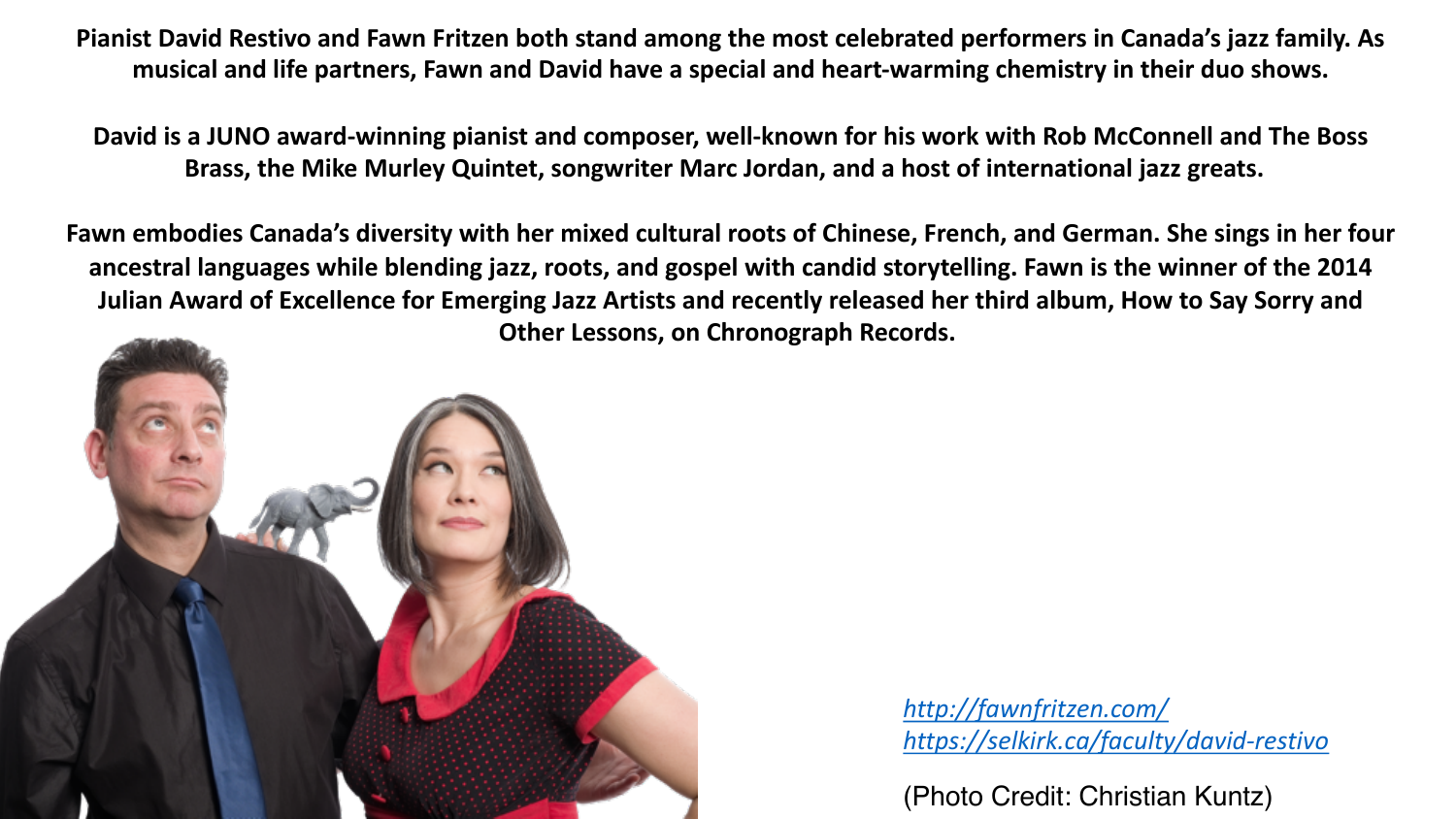**Pianist David Restivo and Fawn Fritzen both stand among the most celebrated performers in Canada's jazz family. As musical and life partners, Fawn and David have a special and heart-warming chemistry in their duo shows.**

**David is a JUNO award-winning pianist and composer, well-known for his work with Rob McConnell and The Boss Brass, the Mike Murley Quintet, songwriter Marc Jordan, and a host of international jazz greats.** 

**Fawn embodies Canada's diversity with her mixed cultural roots of Chinese, French, and German. She sings in her four ancestral languages while blending jazz, roots, and gospel with candid storytelling. Fawn is the winner of the 2014 Julian Award of Excellence for Emerging Jazz Artists and recently released her third album, How to Say Sorry and Other Lessons, on Chronograph Records.**



*<http://fawnfritzen.com/> <https://selkirk.ca/faculty/david-restivo>*

(Photo Credit: Christian Kuntz)